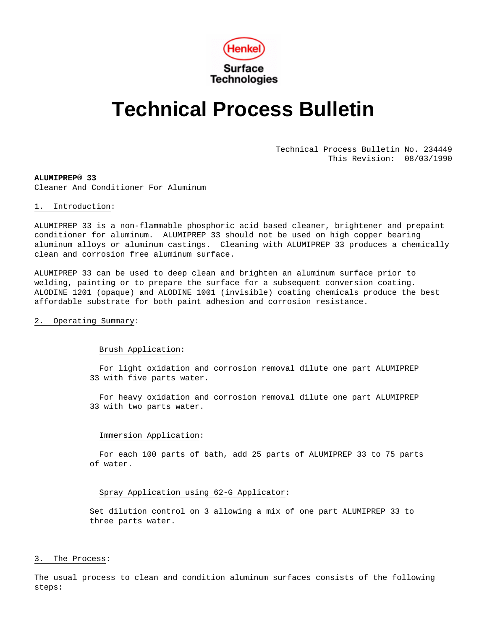

# **Technical Process Bulletin**

Technical Process Bulletin No. 234449 This Revision: 08/03/1990

**ALUMIPREP® 33**  Cleaner And Conditioner For Aluminum

## 1. Introduction:

ALUMIPREP 33 is a non-flammable phosphoric acid based cleaner, brightener and prepaint conditioner for aluminum. ALUMIPREP 33 should not be used on high copper bearing aluminum alloys or aluminum castings. Cleaning with ALUMIPREP 33 produces a chemically clean and corrosion free aluminum surface.

ALUMIPREP 33 can be used to deep clean and brighten an aluminum surface prior to welding, painting or to prepare the surface for a subsequent conversion coating. ALODINE 1201 (opaque) and ALODINE 1001 (invisible) coating chemicals produce the best affordable substrate for both paint adhesion and corrosion resistance.

## 2. Operating Summary:

## Brush Application:

 For light oxidation and corrosion removal dilute one part ALUMIPREP 33 with five parts water.

 For heavy oxidation and corrosion removal dilute one part ALUMIPREP 33 with two parts water.

## Immersion Application:

 For each 100 parts of bath, add 25 parts of ALUMIPREP 33 to 75 parts of water.

# Spray Application using 62-G Applicator:

Set dilution control on 3 allowing a mix of one part ALUMIPREP 33 to three parts water.

## 3. The Process:

The usual process to clean and condition aluminum surfaces consists of the following steps: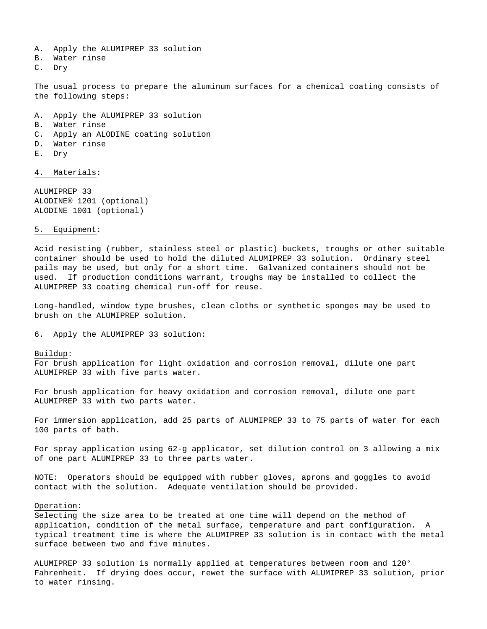- A. Apply the ALUMIPREP 33 solution
- B. Water rinse
- C. Dry

The usual process to prepare the aluminum surfaces for a chemical coating consists of the following steps:

- A. Apply the ALUMIPREP 33 solution
- B. Water rinse
- C. Apply an ALODINE coating solution
- D. Water rinse
- E. Dry

4. Materials:

ALUMIPREP 33 ALODINE® 1201 (optional) ALODINE 1001 (optional)

#### 5. Equipment:

Acid resisting (rubber, stainless steel or plastic) buckets, troughs or other suitable container should be used to hold the diluted ALUMIPREP 33 solution. Ordinary steel pails may be used, but only for a short time. Galvanized containers should not be used. If production conditions warrant, troughs may be installed to collect the ALUMIPREP 33 coating chemical run-off for reuse.

Long-handled, window type brushes, clean cloths or synthetic sponges may be used to brush on the ALUMIPREP solution.

## 6. Apply the ALUMIPREP 33 solution:

## Buildup:

For brush application for light oxidation and corrosion removal, dilute one part ALUMIPREP 33 with five parts water.

For brush application for heavy oxidation and corrosion removal, dilute one part ALUMIPREP 33 with two parts water.

For immersion application, add 25 parts of ALUMIPREP 33 to 75 parts of water for each 100 parts of bath.

For spray application using 62-g applicator, set dilution control on 3 allowing a mix of one part ALUMIPREP 33 to three parts water.

NOTE: Operators should be equipped with rubber gloves, aprons and goggles to avoid contact with the solution. Adequate ventilation should be provided.

# Operation:

Selecting the size area to be treated at one time will depend on the method of application, condition of the metal surface, temperature and part configuration. A typical treatment time is where the ALUMIPREP 33 solution is in contact with the metal surface between two and five minutes.

ALUMIPREP 33 solution is normally applied at temperatures between room and 120° Fahrenheit. If drying does occur, rewet the surface with ALUMIPREP 33 solution, prior to water rinsing.